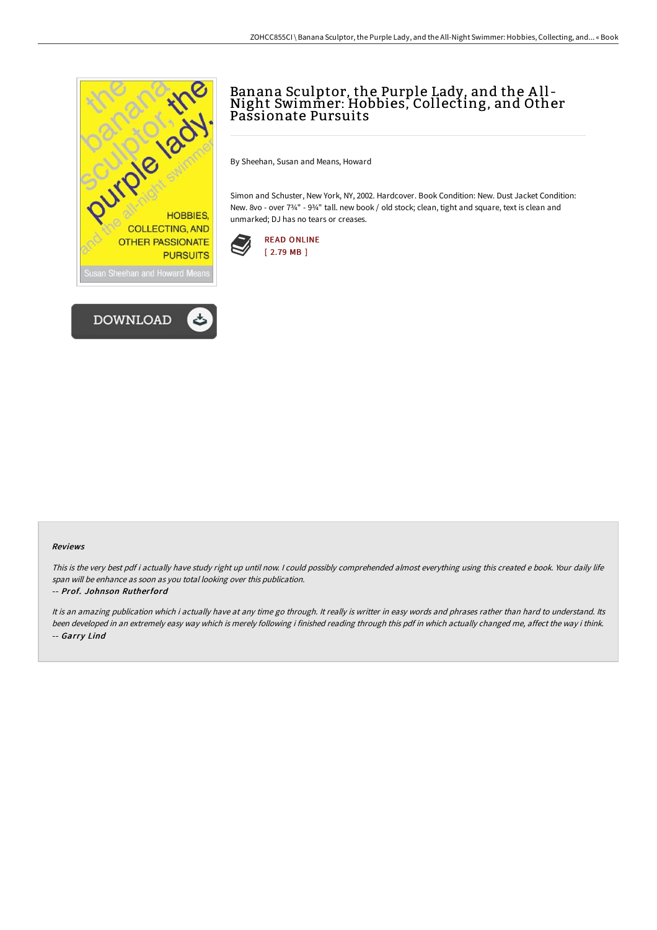



# Banana Sculptor, the Purple Lady, and the <sup>A</sup> ll - Night Swimmer: Hobbies, Collecting, and Other Passionate Pursuits

By Sheehan, Susan and Means, Howard

Simon and Schuster, New York, NY, 2002. Hardcover. Book Condition: New. Dust Jacket Condition: New. 8vo - over 734" - 934" tall. new book / old stock; clean, tight and square, text is clean and unmarked; DJ has no tears or creases.



#### Reviews

This is the very best pdf i actually have study right up until now. <sup>I</sup> could possibly comprehended almost everything using this created <sup>e</sup> book. Your daily life span will be enhance as soon as you total looking over this publication.

#### -- Prof. Johnson Rutherford

It is an amazing publication which i actually have at any time go through. It really is writter in easy words and phrases rather than hard to understand. Its been developed in an extremely easy way which is merely following i finished reading through this pdf in which actually changed me, affect the way i think. -- Garry Lind